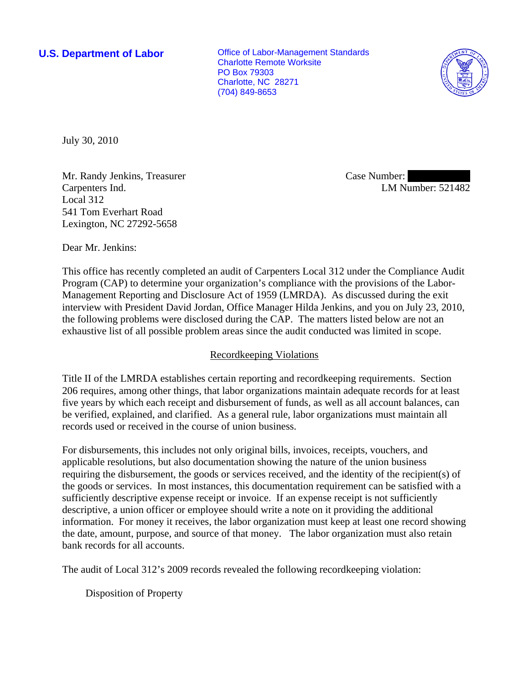**U.S. Department of Labor Conservative Conservative Conservative Conservative Conservative Conservative Conservative Conservative Conservative Conservative Conservative Conservative Conservative Conservative Conservative** Charlotte Remote Worksite PO Box 79303 Charlotte, NC 28271 (704) 849-8653



July 30, 2010

Mr. Randy Jenkins, Treasurer Carpenters Ind. Local 312 541 Tom Everhart Road Lexington, NC 27292-5658

Case Number: LM Number: 521482

Dear Mr. Jenkins:

This office has recently completed an audit of Carpenters Local 312 under the Compliance Audit Program (CAP) to determine your organization's compliance with the provisions of the Labor-Management Reporting and Disclosure Act of 1959 (LMRDA). As discussed during the exit interview with President David Jordan, Office Manager Hilda Jenkins, and you on July 23, 2010, the following problems were disclosed during the CAP. The matters listed below are not an exhaustive list of all possible problem areas since the audit conducted was limited in scope.

### Recordkeeping Violations

Title II of the LMRDA establishes certain reporting and recordkeeping requirements. Section 206 requires, among other things, that labor organizations maintain adequate records for at least five years by which each receipt and disbursement of funds, as well as all account balances, can be verified, explained, and clarified. As a general rule, labor organizations must maintain all records used or received in the course of union business.

For disbursements, this includes not only original bills, invoices, receipts, vouchers, and applicable resolutions, but also documentation showing the nature of the union business requiring the disbursement, the goods or services received, and the identity of the recipient(s) of the goods or services. In most instances, this documentation requirement can be satisfied with a sufficiently descriptive expense receipt or invoice. If an expense receipt is not sufficiently descriptive, a union officer or employee should write a note on it providing the additional information. For money it receives, the labor organization must keep at least one record showing the date, amount, purpose, and source of that money. The labor organization must also retain bank records for all accounts.

The audit of Local 312's 2009 records revealed the following recordkeeping violation:

Disposition of Property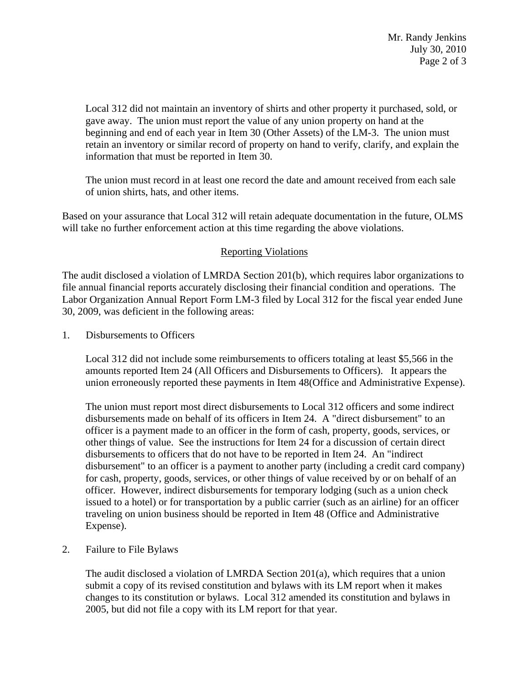Local 312 did not maintain an inventory of shirts and other property it purchased, sold, or gave away. The union must report the value of any union property on hand at the beginning and end of each year in Item 30 (Other Assets) of the LM-3. The union must retain an inventory or similar record of property on hand to verify, clarify, and explain the information that must be reported in Item 30.

The union must record in at least one record the date and amount received from each sale of union shirts, hats, and other items.

Based on your assurance that Local 312 will retain adequate documentation in the future, OLMS will take no further enforcement action at this time regarding the above violations.

# Reporting Violations

The audit disclosed a violation of LMRDA Section 201(b), which requires labor organizations to file annual financial reports accurately disclosing their financial condition and operations. The Labor Organization Annual Report Form LM-3 filed by Local 312 for the fiscal year ended June 30, 2009, was deficient in the following areas:

1. Disbursements to Officers

Local 312 did not include some reimbursements to officers totaling at least \$5,566 in the amounts reported Item 24 (All Officers and Disbursements to Officers). It appears the union erroneously reported these payments in Item 48(Office and Administrative Expense).

The union must report most direct disbursements to Local 312 officers and some indirect disbursements made on behalf of its officers in Item 24. A "direct disbursement" to an officer is a payment made to an officer in the form of cash, property, goods, services, or other things of value. See the instructions for Item 24 for a discussion of certain direct disbursements to officers that do not have to be reported in Item 24. An "indirect disbursement" to an officer is a payment to another party (including a credit card company) for cash, property, goods, services, or other things of value received by or on behalf of an officer. However, indirect disbursements for temporary lodging (such as a union check issued to a hotel) or for transportation by a public carrier (such as an airline) for an officer traveling on union business should be reported in Item 48 (Office and Administrative Expense).

2. Failure to File Bylaws

The audit disclosed a violation of LMRDA Section  $201(a)$ , which requires that a union submit a copy of its revised constitution and bylaws with its LM report when it makes changes to its constitution or bylaws. Local 312 amended its constitution and bylaws in 2005, but did not file a copy with its LM report for that year.